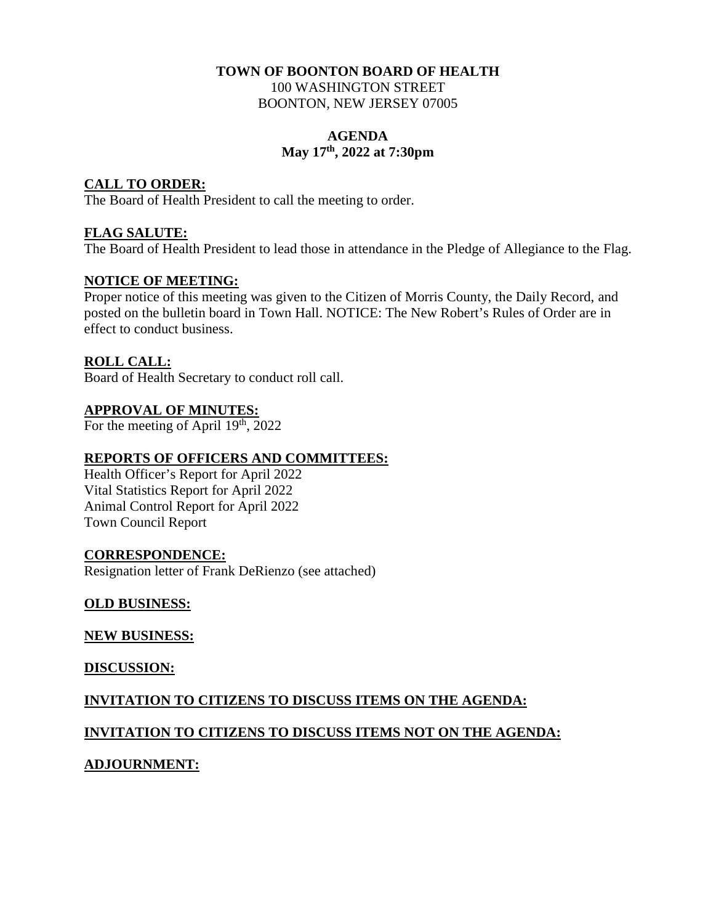#### **TOWN OF BOONTON BOARD OF HEALTH**  100 WASHINGTON STREET BOONTON, NEW JERSEY 07005

#### **AGENDA May 17th, 2022 at 7:30pm**

#### **CALL TO ORDER:**

The Board of Health President to call the meeting to order.

#### **FLAG SALUTE:**

The Board of Health President to lead those in attendance in the Pledge of Allegiance to the Flag.

#### **NOTICE OF MEETING:**

Proper notice of this meeting was given to the Citizen of Morris County, the Daily Record, and posted on the bulletin board in Town Hall. NOTICE: The New Robert's Rules of Order are in effect to conduct business.

#### **ROLL CALL:**

Board of Health Secretary to conduct roll call.

#### **APPROVAL OF MINUTES:**

For the meeting of April  $19<sup>th</sup>$ , 2022

#### **REPORTS OF OFFICERS AND COMMITTEES:**

Health Officer's Report for April 2022 Vital Statistics Report for April 2022 Animal Control Report for April 2022 Town Council Report

#### **CORRESPONDENCE:**

Resignation letter of Frank DeRienzo (see attached)

#### **OLD BUSINESS:**

**NEW BUSINESS:** 

**DISCUSSION:** 

#### **INVITATION TO CITIZENS TO DISCUSS ITEMS ON THE AGENDA:**

#### **INVITATION TO CITIZENS TO DISCUSS ITEMS NOT ON THE AGENDA:**

#### **ADJOURNMENT:**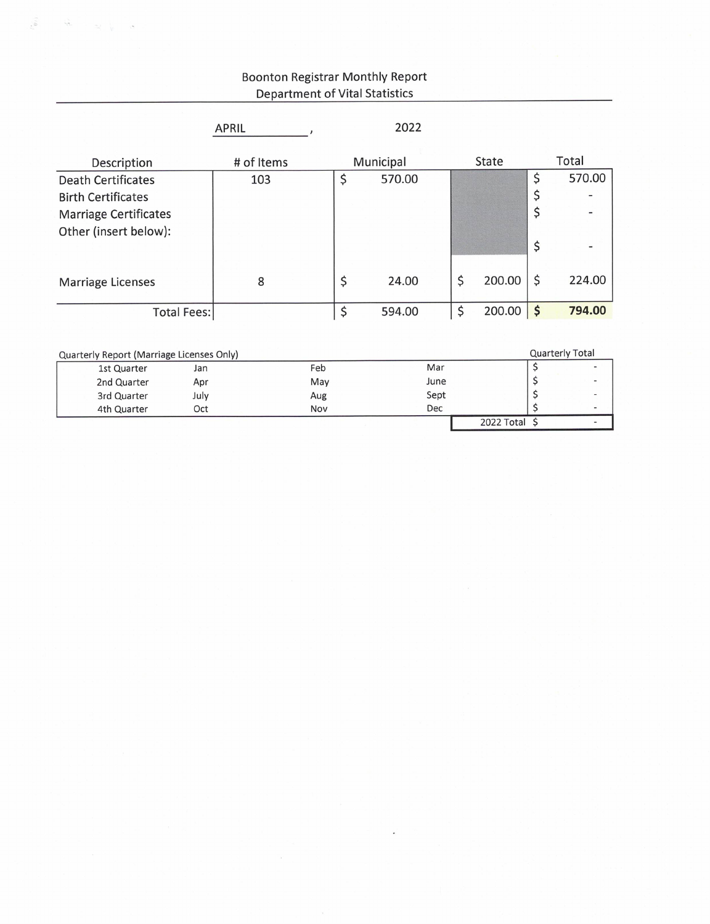### **Boonton Registrar Monthly Report Department of Vital Statistics**

 $\hat{y}_{i}$ 

 $\widetilde{\mathcal{M}}$ 

|                                           | <b>APRIL</b> | 2022         |                   |              |
|-------------------------------------------|--------------|--------------|-------------------|--------------|
| Description                               | # of Items   | Municipal    | State             | Total        |
| <b>Death Certificates</b>                 | 103          | \$<br>570.00 |                   | \$<br>570.00 |
| <b>Birth Certificates</b>                 |              |              |                   | \$           |
| <b>Marriage Certificates</b>              |              |              |                   | \$           |
| Other (insert below):                     |              |              |                   |              |
|                                           |              |              |                   | \$           |
| <b>Marriage Licenses</b>                  | 8            | \$<br>24.00  | \$<br>200.00      | \$<br>224.00 |
| <b>Total Fees:</b>                        |              | \$<br>594.00 | \$<br>$200.00$ \$ | 794.00       |
|                                           |              |              |                   |              |
| Quarterly Report (Marriage Licenses Only) |              |              | Quarterly Total   |              |
| 1st Quarter<br>Jan                        | Feb          | Mar          |                   | \$<br>-      |
| 2nd Quarter<br>Apr                        | May          | June         |                   | \$           |
| 3rd Quarter<br>July                       | Aug          | Sept         |                   | \$           |
| 4th Quarter<br>Oct                        | Nov          | Dec          |                   | \$           |

 $2022 \text{ Total }$ 

 $\overline{a}$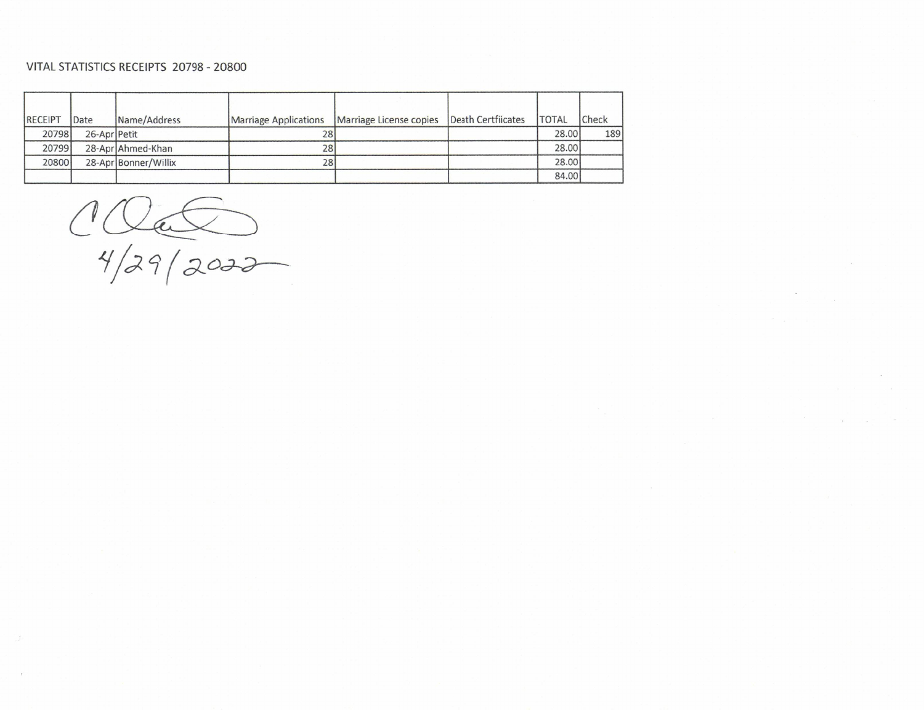#### VITAL STATISTICS RECEIPTS 20798 - 20800

| RECEIPT | Date         | Name/Address         | <b>Marriage Applications</b> | Marriage License copies | Death Certfiicates | <b>ITOTAL</b> | Check |
|---------|--------------|----------------------|------------------------------|-------------------------|--------------------|---------------|-------|
| 20798   | 26-Apr Petit |                      | 281                          |                         |                    | 28,00         | 189   |
| 20799   |              | 28-Apr Ahmed-Khan    | 28                           |                         |                    | 28.00         |       |
| 20800   |              | 28-Apr Bonner/Willix | 281                          |                         |                    | 28.00         |       |
|         |              |                      |                              |                         |                    | 84.00         |       |

 $1000$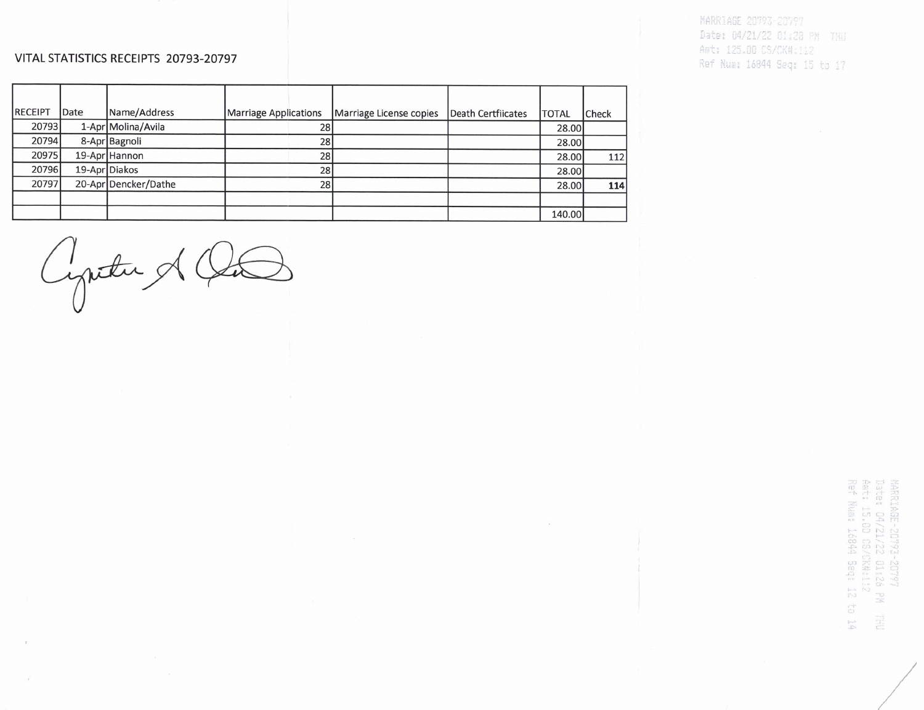#### VITAL STATISTICS RECEIPTS 20793-20797

MARRIAGE 20793-20797 Date: 04/21/22 01:28 PM THU Amt: 125.00 CS/CK#:112 Ref Num: 16844 Seq: 15 to 17

| <b>IRECEIPT</b> | Date | Name/Address         | Marriage Applications | Marriage License copies | Death Certfiicates | <b>TOTAL</b> | Check |
|-----------------|------|----------------------|-----------------------|-------------------------|--------------------|--------------|-------|
| 20793           |      | 1-Apr Molina/Avila   | 28                    |                         |                    | 28.00        |       |
| 20794           |      | 8-Apr Bagnoli        | 28                    |                         |                    | 28.00        |       |
| 20975           |      | 19-Apr Hannon        | 28                    |                         |                    | 28.00        | 112   |
| 20796           |      | 19-Apr Diakos        | 28                    |                         |                    | 28.00        |       |
| 20797           |      | 20-Apr Dencker/Dathe | 28                    |                         |                    | 28.00        | 114   |
|                 |      |                      |                       |                         |                    |              |       |
|                 |      |                      |                       |                         |                    | 140.00       |       |

Cyntu & Ot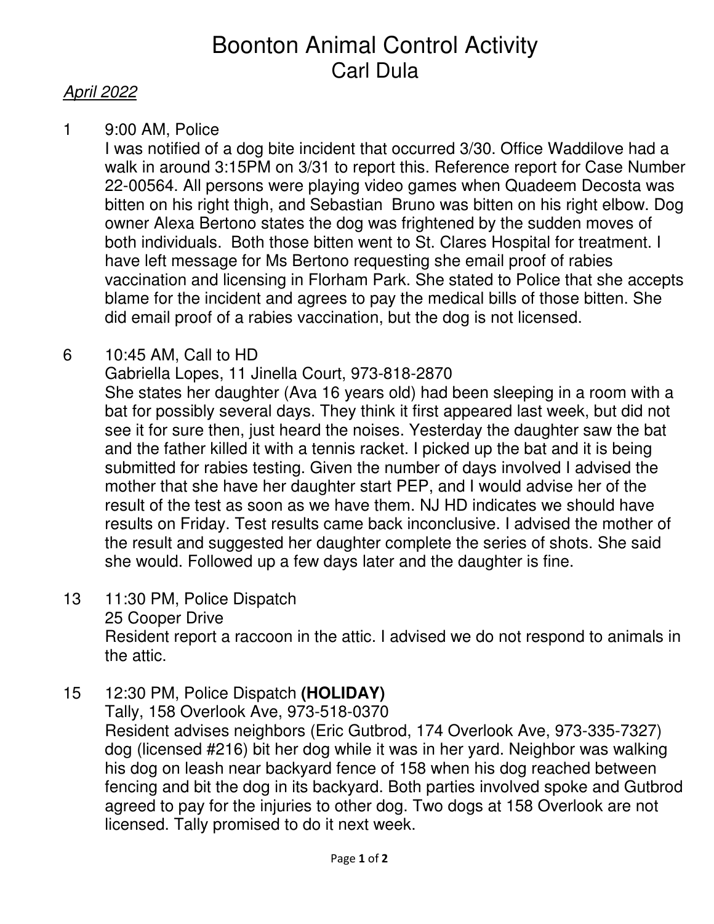# Boonton Animal Control Activity Carl Dula

# April 2022

1 9:00 AM, Police

I was notified of a dog bite incident that occurred 3/30. Office Waddilove had a walk in around 3:15PM on 3/31 to report this. Reference report for Case Number 22-00564. All persons were playing video games when Quadeem Decosta was bitten on his right thigh, and Sebastian Bruno was bitten on his right elbow. Dog owner Alexa Bertono states the dog was frightened by the sudden moves of both individuals. Both those bitten went to St. Clares Hospital for treatment. I have left message for Ms Bertono requesting she email proof of rabies vaccination and licensing in Florham Park. She stated to Police that she accepts blame for the incident and agrees to pay the medical bills of those bitten. She did email proof of a rabies vaccination, but the dog is not licensed.

6 10:45 AM, Call to HD

Gabriella Lopes, 11 Jinella Court, 973-818-2870

She states her daughter (Ava 16 years old) had been sleeping in a room with a bat for possibly several days. They think it first appeared last week, but did not see it for sure then, just heard the noises. Yesterday the daughter saw the bat and the father killed it with a tennis racket. I picked up the bat and it is being submitted for rabies testing. Given the number of days involved I advised the mother that she have her daughter start PEP, and I would advise her of the result of the test as soon as we have them. NJ HD indicates we should have results on Friday. Test results came back inconclusive. I advised the mother of the result and suggested her daughter complete the series of shots. She said she would. Followed up a few days later and the daughter is fine.

- 13 11:30 PM, Police Dispatch 25 Cooper Drive Resident report a raccoon in the attic. I advised we do not respond to animals in the attic.
- 15 12:30 PM, Police Dispatch **(HOLIDAY)**

 Tally, 158 Overlook Ave, 973-518-0370 Resident advises neighbors (Eric Gutbrod, 174 Overlook Ave, 973-335-7327) dog (licensed #216) bit her dog while it was in her yard. Neighbor was walking his dog on leash near backyard fence of 158 when his dog reached between fencing and bit the dog in its backyard. Both parties involved spoke and Gutbrod agreed to pay for the injuries to other dog. Two dogs at 158 Overlook are not licensed. Tally promised to do it next week.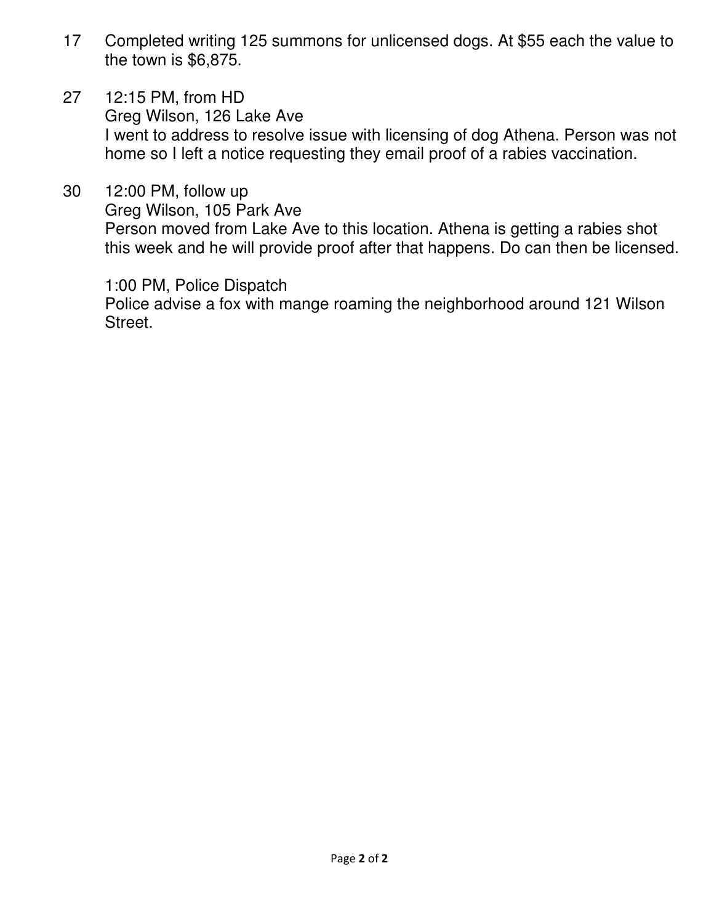- 17 Completed writing 125 summons for unlicensed dogs. At \$55 each the value to the town is \$6,875.
- 27 12:15 PM, from HD Greg Wilson, 126 Lake Ave I went to address to resolve issue with licensing of dog Athena. Person was not home so I left a notice requesting they email proof of a rabies vaccination.
- 30 12:00 PM, follow up Greg Wilson, 105 Park Ave Person moved from Lake Ave to this location. Athena is getting a rabies shot this week and he will provide proof after that happens. Do can then be licensed.

1:00 PM, Police Dispatch

 Police advise a fox with mange roaming the neighborhood around 121 Wilson Street.